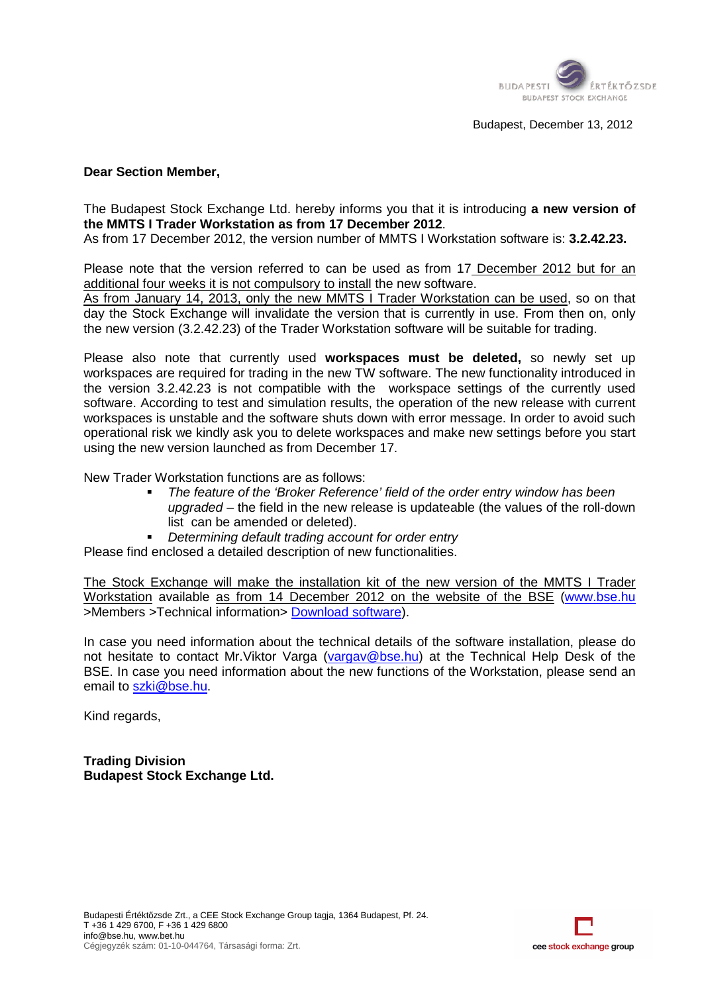

## **Dear Section Member,**

The Budapest Stock Exchange Ltd. hereby informs you that it is introducing **a new version of the MMTS I Trader Workstation as from 17 December 2012**. As from 17 December 2012, the version number of MMTS I Workstation software is: 3.2.42.23.

Please note that the version referred to can be used as from 17 December 2012 but for an additional four weeks it is not compulsory to install the new software.

As from January 14, 2013, only the new MMTS I Trader Workstation can be used, so on that day the Stock Exchange will invalidate the version that is currently in use. From then on, only the new version (3.2.42.23) of the Trader Workstation software will be suitable for trading.

Please also note that currently used workspaces must be deleted, so newly set up workspaces are required for trading in the new TW software. The new functionality introduced in the version 3.2.42.23 is not compatible with the workspace settings of the currently used software. According to test and simulation results, the operation of the new release with current workspaces is unstable and the software shuts down with error message. In order to avoid such operational risk we kindly ask you to delete workspaces and make new settings using the new version launched as from December 17. Budapest,<br>
Budapest,<br>
Budapest,<br>
For Workstation as from 17 December 2012.<br>
The reversion read to can be used as from 17 December 2012.<br>
the version referred to can be used as from 17 December 2012.<br>
He, 2013, only the new le with the workspace settings of the currently used<br>on results, the operation of the new release with current<br>e shuts down with error message. In order to avoid such<br>lete workspaces and make new settings before you start

New Trader Workstation functions are as follows:

- The feature of the 'Broker Reference' field of the order entry window has been upgraded – the field in the new release is updateable (the values of the roll-down list can be amended or deleted).
- Determining default trading account for order entry

Please find enclosed a detailed description of new functionalities.

The Stock Exchange will make the installation kit of the new version of the MMTS I Trader Workstation available as from 14 December 2012 on the website of the BSE (www.bse.hu >Members >Technical information> **Download software**).

In case you need information about the technical details of the software installation, please do not hesitate to contact Mr. Viktor Varga (vargav@bse.hu) at the Technical Help Desk of the BSE. In case you need information about the new functions of the Workstation, please send an email to szki@bse.hu.

Kind regards,

**Trading Division Budapest Stock Exchange Ltd.**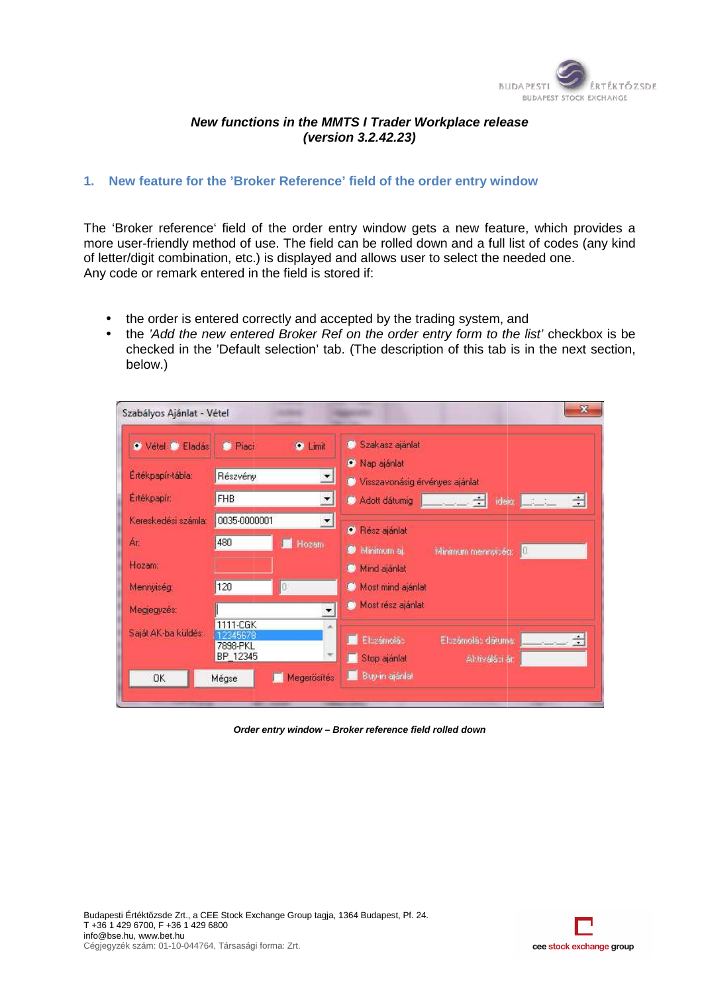

## **New functions in the MMTS I Trader Workplace release**

## **1. New feature for the 'Broker R Reference' field of the order entry window**

The 'Broker reference' field of the order entry window gets a new feature, which provides a more user-friendly method of use. The field can be rolled down and a full list of codes (any kind of letter/digit combination, etc.) is displayed and allows user to select the needed one. Any code or remark entered in the field is stored if:

- the order is entered correctly and accepted by the trading system, and
- the order is entered correctly and accepted by the trading system, and<br>• the 'Add the new entered Broker Ref on the order entry form to the list' checkbox is be checked in the 'Default selection' tab. (The description of this tab is in the next section, below.)



**Order entry window – Broker reference field rolled down** 

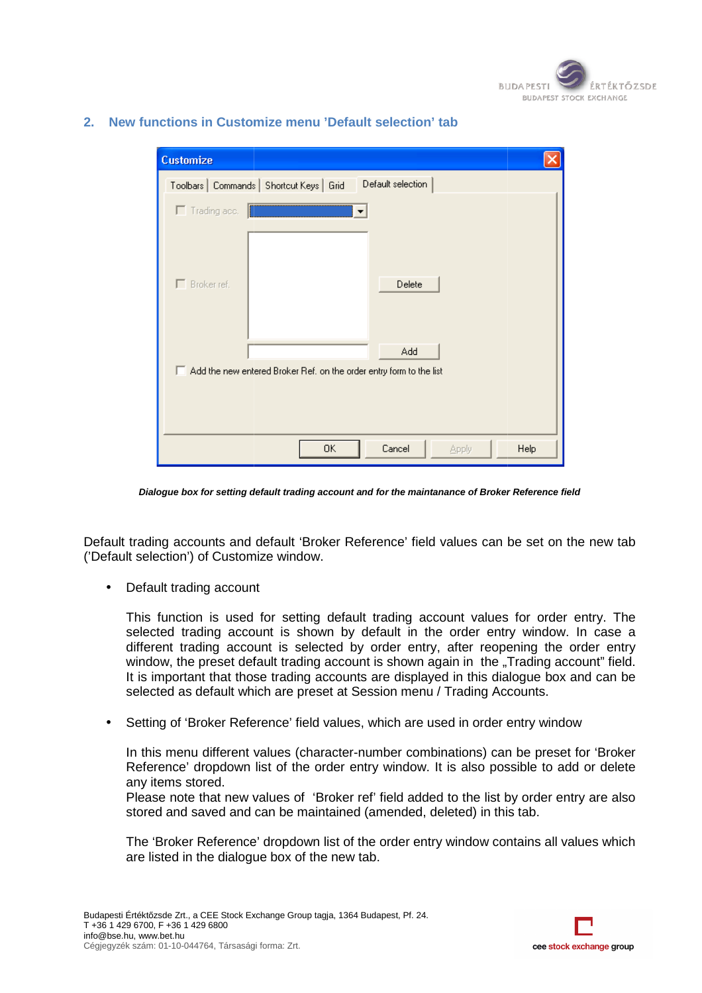

| <b>Customize</b>      |                                                                            |      |
|-----------------------|----------------------------------------------------------------------------|------|
|                       | Default selection<br>Toolbars   Commands   Shortcut Keys   Grid            |      |
| $\Gamma$ Trading acc. |                                                                            |      |
| $\Box$ Broker ref.    | Delete                                                                     |      |
|                       | Add<br>Add the new entered Broker Ref. on the order entry form to the list |      |
|                       | 0K<br>Cancel<br>Apply                                                      | Help |

## **2. New functions in Customize menu 'Default selection' tab**

**Dialogue box for setting default trading account and for the maintanance of Broker Reference field** 

Default trading accounts and default 'Broker Reference' field values can be set on the new tab ('Default selection') of Customi

• Default trading account

This function is used for setting default trading account values for order entry. The selected trading account is shown by default in the order entry window. In case a different trading account is selected by order entry, after reopening the order entry window, the preset default trading account is shown again in the "Trading account" field. It is important that those trading accounts are displayed in this dialogue box and can be selected as default which are preset at Session menu / Trading Accounts. It is important that those trading accounts are displayed in this dialogue box and can be<br>selected as default which are preset at Session menu / Trading Accounts.<br>Setting of 'Broker Reference' field values, which are used n') of Customize window.<br>
Iding account<br>
ion is used for setting<br>
rading account is show<br>
rading account is select<br>
he preset default trading ac<br>
stant that those trading ac<br>
stant which are prese<br>
'Broker Reference' field

• Setting of 'Broker Reference' field values, which are used in order entry window

Reference' dropdown list of the order entry window. It is also possible to add or delete any items stored.

Please note that new values of 'Broker ref' field added to the list by order entry are also stored and saved and can be maintained (amended, deleted) in this tab. tab.

The 'Broker Reference' dropdown list of the order entry window contains all values which are listed in the dialogue box of the new tab.